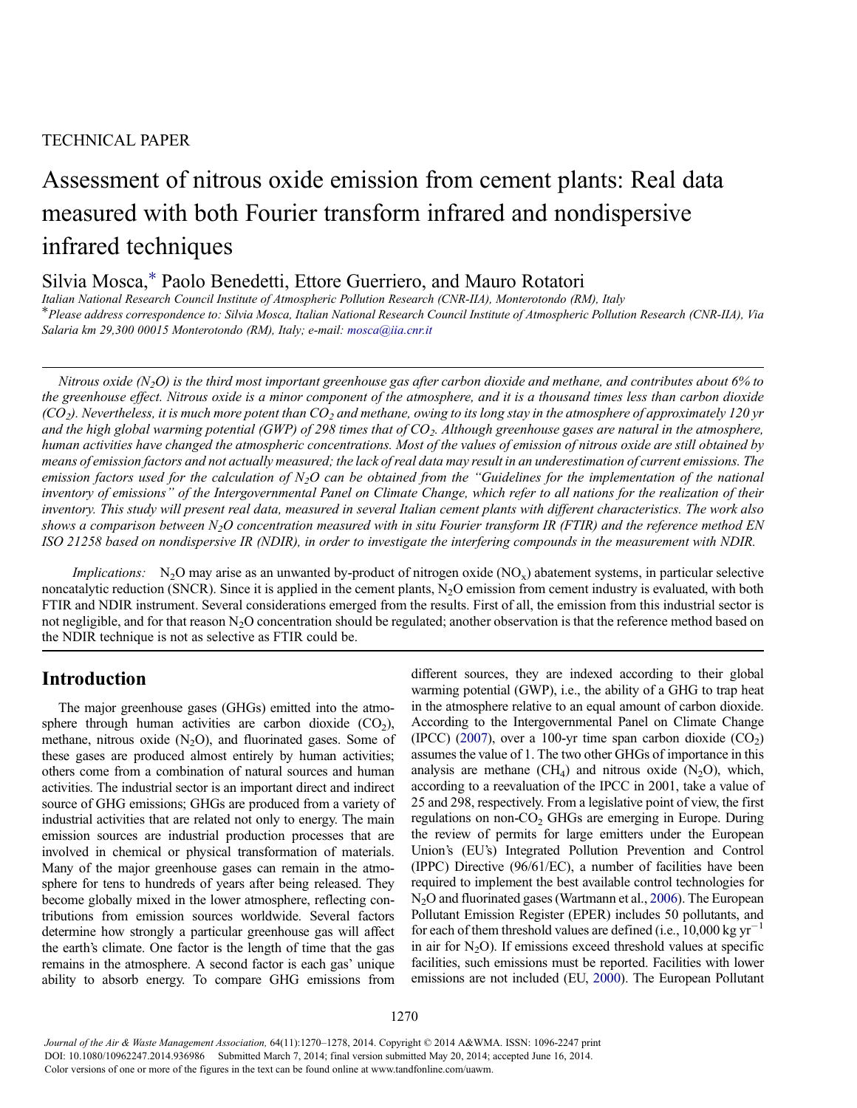## TECHNICAL PAPER

# Assessment of nitrous oxide emission from cement plants: Real data measured with both Fourier transform infrared and nondispersive infrared techniques

Silvia Mosca,<sup>\*</sup> Paolo Benedetti, Ettore Guerriero, and Mauro Rotatori

Italian National Research Council Institute of Atmospheric Pollution Research (CNR-IIA), Monterotondo (RM), Italy ⁄Please address correspondence to: Silvia Mosca, Italian National Research Council Institute of Atmospheric Pollution Research (CNR-IIA), Via Salaria km 29,300 00015 Monterotondo (RM), Italy; e-mail: mosca@iia.cnr.it

Nitrous oxide  $(N_2O)$  is the third most important greenhouse gas after carbon dioxide and methane, and contributes about 6% to the greenhouse effect. Nitrous oxide is a minor component of the atmosphere, and it is a thousand times less than carbon dioxide  $(CO<sub>2</sub>)$ . Nevertheless, it is much more potent than  $CO<sub>2</sub>$  and methane, owing to its long stay in the atmosphere of approximately 120 yr and the high global warming potential (GWP) of 298 times that of  $CO<sub>2</sub>$ . Although greenhouse gases are natural in the atmosphere, human activities have changed the atmospheric concentrations. Most of the values of emission of nitrous oxide are still obtained by means of emission factors and not actually measured; the lack of real data may result in an underestimation of current emissions. The emission factors used for the calculation of  $N<sub>2</sub>O$  can be obtained from the "Guidelines for the implementation of the national inventory of emissions" of the Intergovernmental Panel on Climate Change, which refer to all nations for the realization of their inventory. This study will present real data, measured in several Italian cement plants with different characteristics. The work also shows a comparison between  $N_2O$  concentration measured with in situ Fourier transform IR (FTIR) and the reference method EN ISO 21258 based on nondispersive IR (NDIR), in order to investigate the interfering compounds in the measurement with NDIR.

*Implications:* N<sub>2</sub>O may arise as an unwanted by-product of nitrogen oxide  $(NO<sub>x</sub>)$  abatement systems, in particular selective noncatalytic reduction (SNCR). Since it is applied in the cement plants,  $N_2O$  emission from cement industry is evaluated, with both FTIR and NDIR instrument. Several considerations emerged from the results. First of all, the emission from this industrial sector is not negligible, and for that reason N<sub>2</sub>O concentration should be regulated; another observation is that the reference method based on the NDIR technique is not as selective as FTIR could be.

# Introduction

The major greenhouse gases (GHGs) emitted into the atmosphere through human activities are carbon dioxide  $(CO<sub>2</sub>)$ , methane, nitrous oxide  $(N_2O)$ , and fluorinated gases. Some of these gases are produced almost entirely by human activities; others come from a combination of natural sources and human activities. The industrial sector is an important direct and indirect source of GHG emissions; GHGs are produced from a variety of industrial activities that are related not only to energy. The main emission sources are industrial production processes that are involved in chemical or physical transformation of materials. Many of the major greenhouse gases can remain in the atmosphere for tens to hundreds of years after being released. They become globally mixed in the lower atmosphere, reflecting contributions from emission sources worldwide. Several factors determine how strongly a particular greenhouse gas will affect the earth's climate. One factor is the length of time that the gas remains in the atmosphere. A second factor is each gas' unique ability to absorb energy. To compare GHG emissions from

different sources, they are indexed according to their global warming potential (GWP), i.e., the ability of a GHG to trap heat in the atmosphere relative to an equal amount of carbon dioxide. According to the Intergovernmental Panel on Climate Change (IPCC) ([2007](#page-7-0)), over a 100-yr time span carbon dioxide  $(CO<sub>2</sub>)$ assumes the value of 1. The two other GHGs of importance in this analysis are methane (CH<sub>4</sub>) and nitrous oxide (N<sub>2</sub>O), which, according to a reevaluation of the IPCC in 2001, take a value of 25 and 298, respectively. From a legislative point of view, the first regulations on non- $CO<sub>2</sub>$  GHGs are emerging in Europe. During the review of permits for large emitters under the European Union's (EU's) Integrated Pollution Prevention and Control (IPPC) Directive (96/61/EC), a number of facilities have been required to implement the best available control technologies for N<sub>2</sub>O and fluorinated gases (Wartmann et al., 2006). The European Pollutant Emission Register (EPER) includes 50 pollutants, and for each of them threshold values are defined (i.e., 10,000 kg  $yr^{-1}$ in air for  $N_2O$ ). If emissions exceed threshold values at specific facilities, such emissions must be reported. Facilities with lower emissions are not included (EU, [2000\)](#page-7-0). The European Pollutant

Journal of the Air & Waste Management Association, 64(11):1270–1278, 2014. Copyright © 2014 A&WMA. ISSN: 1096-2247 print DOI: 10.1080/10962247.2014.936986 Submitted March 7, 2014; final version submitted May 20, 2014; accepted June 16, 2014. Color versions of one or more of the figures in the text can be found online at www.tandfonline.com/uawm.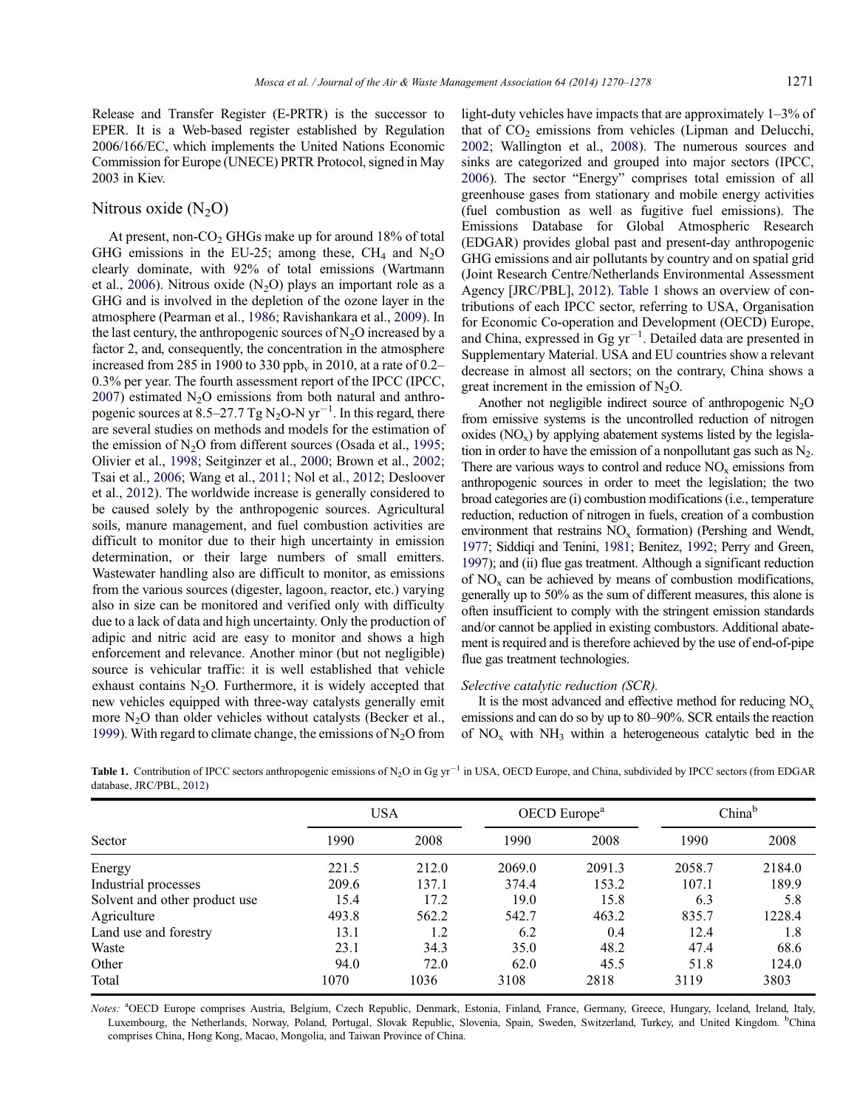Release and Transfer Register (E-PRTR) is the successor to EPER. It is a Web-based register established by Regulation 2006/166/EC, which implements the United Nations Economic Commission for Europe (UNECE) PRTR Protocol, signed in May 2003 in Kiev.

#### Nitrous oxide  $(N_2O)$

At present, non-CO<sub>2</sub> GHGs make up for around 18% of total GHG emissions in the EU-25; among these,  $CH_4$  and  $N_2O$ clearly dominate, with 92% of total emissions (Wartmann et al., 2006). Nitrous oxide  $(N_2O)$  plays an important role as a GHG and is involved in the depletion of the ozone layer in the atmosphere (Pearman et al., [1986](#page-8-0); Ravishankara et al., [2009\)](#page-8-0). In the last century, the anthropogenic sources of  $N<sub>2</sub>O$  increased by a factor 2, and, consequently, the concentration in the atmosphere increased from 285 in 1900 to 330 ppb<sub>v</sub> in 2010, at a rate of 0.2– 0.3% per year. The fourth assessment report of the IPCC (IPCC,  $2007$ ) estimated N<sub>2</sub>O emissions from both natural and anthropogenic sources at  $8.5-27.7$  Tg N<sub>2</sub>O-N yr<sup>-1</sup>. In this regard, there are several studies on methods and models for the estimation of the emission of  $N<sub>2</sub>O$  from different sources (Osada et al., [1995](#page-8-0); Olivier et al., [1998](#page-8-0); Seitginzer et al., [2000;](#page-8-0) Brown et al., [2002](#page-7-0); Tsai et al., [2006;](#page-8-0) Wang et al., [2011](#page-8-0); Nol et al., [2012](#page-8-0); Desloover et al., [2012](#page-7-0)). The worldwide increase is generally considered to be caused solely by the anthropogenic sources. Agricultural soils, manure management, and fuel combustion activities are difficult to monitor due to their high uncertainty in emission determination, or their large numbers of small emitters. Wastewater handling also are difficult to monitor, as emissions from the various sources (digester, lagoon, reactor, etc.) varying also in size can be monitored and verified only with difficulty due to a lack of data and high uncertainty. Only the production of adipic and nitric acid are easy to monitor and shows a high enforcement and relevance. Another minor (but not negligible) source is vehicular traffic: it is well established that vehicle exhaust contains  $N_2O$ . Furthermore, it is widely accepted that new vehicles equipped with three-way catalysts generally emit more  $N_2O$  than older vehicles without catalysts (Becker et al., [1999\)](#page-7-0). With regard to climate change, the emissions of  $N<sub>2</sub>O$  from

light-duty vehicles have impacts that are approximately 1–3% of that of  $CO<sub>2</sub>$  emissions from vehicles (Lipman and Delucchi, [2002;](#page-8-0) Wallington et al., [2008](#page-8-0)). The numerous sources and sinks are categorized and grouped into major sectors (IPCC, [2006\)](#page-7-0). The sector "Energy" comprises total emission of all greenhouse gases from stationary and mobile energy activities (fuel combustion as well as fugitive fuel emissions). The Emissions Database for Global Atmospheric Research (EDGAR) provides global past and present-day anthropogenic GHG emissions and air pollutants by country and on spatial grid (Joint Research Centre/Netherlands Environmental Assessment Agency [JRC/PBL], 2012). Table 1 shows an overview of contributions of each IPCC sector, referring to USA, Organisation for Economic Co-operation and Development (OECD) Europe, and China, expressed in Gg  $\text{yr}^{-1}$ . Detailed data are presented in Supplementary Material. USA and EU countries show a relevant decrease in almost all sectors; on the contrary, China shows a great increment in the emission of  $N_2O$ .

Another not negligible indirect source of anthropogenic  $N_2O$ from emissive systems is the uncontrolled reduction of nitrogen oxides  $(NO_x)$  by applying abatement systems listed by the legislation in order to have the emission of a nonpollutant gas such as  $N_2$ . There are various ways to control and reduce  $NO<sub>x</sub>$  emissions from anthropogenic sources in order to meet the legislation; the two broad categories are (i) combustion modifications (i.e., temperature reduction, reduction of nitrogen in fuels, creation of a combustion environment that restrains  $NO<sub>x</sub>$  formation) (Pershing and Wendt, [1977;](#page-8-0) Siddiqi and Tenini, [1981;](#page-8-0) Benitez, [1992;](#page-7-0) Perry and Green, [1997\)](#page-8-0); and (ii) flue gas treatment. Although a significant reduction of  $NO<sub>x</sub>$  can be achieved by means of combustion modifications, generally up to 50% as the sum of different measures, this alone is often insufficient to comply with the stringent emission standards and/or cannot be applied in existing combustors. Additional abatement is required and is therefore achieved by the use of end-of-pipe flue gas treatment technologies.

#### Selective catalytic reduction (SCR).

It is the most advanced and effective method for reducing  $NO<sub>x</sub>$ emissions and can do so by up to 80–90%. SCR entails the reaction of  $NO_x$  with  $NH_3$  within a heterogeneous catalytic bed in the

Table 1. Contribution of IPCC sectors anthropogenic emissions of N<sub>2</sub>O in Gg yr<sup>-1</sup> in USA, OECD Europe, and China, subdivided by IPCC sectors (from EDGAR database, JRC/PBL, 2012)

|                               |       | <b>USA</b> |        | OECD Europe <sup>a</sup> | China <sup>b</sup> |        |
|-------------------------------|-------|------------|--------|--------------------------|--------------------|--------|
| Sector                        | 1990  | 2008       | 1990   | 2008                     | 1990               | 2008   |
| Energy                        | 221.5 | 212.0      | 2069.0 | 2091.3                   | 2058.7             | 2184.0 |
| Industrial processes          | 209.6 | 137.1      | 374.4  | 153.2                    | 107.1              | 189.9  |
| Solvent and other product use | 15.4  | 17.2       | 19.0   | 15.8                     | 6.3                | 5.8    |
| Agriculture                   | 493.8 | 562.2      | 542.7  | 463.2                    | 835.7              | 1228.4 |
| Land use and forestry         | 13.1  | 1.2        | 6.2    | 0.4                      | 12.4               | 1.8    |
| Waste                         | 23.1  | 34.3       | 35.0   | 48.2                     | 47.4               | 68.6   |
| Other                         | 94.0  | 72.0       | 62.0   | 45.5                     | 51.8               | 124.0  |
| Total                         | 1070  | 1036       | 3108   | 2818                     | 3119               | 3803   |

Notes: <sup>a</sup>OECD Europe comprises Austria, Belgium, Czech Republic, Denmark, Estonia, Finland, France, Germany, Greece, Hungary, Iceland, Ireland, Italy, Luxembourg, the Netherlands, Norway, Poland, Portugal, Slovak Republic, Slovenia, Spain, Sweden, Switzerland, Turkey, and United Kingdom. <sup>b</sup>China comprises China, Hong Kong, Macao, Mongolia, and Taiwan Province of China.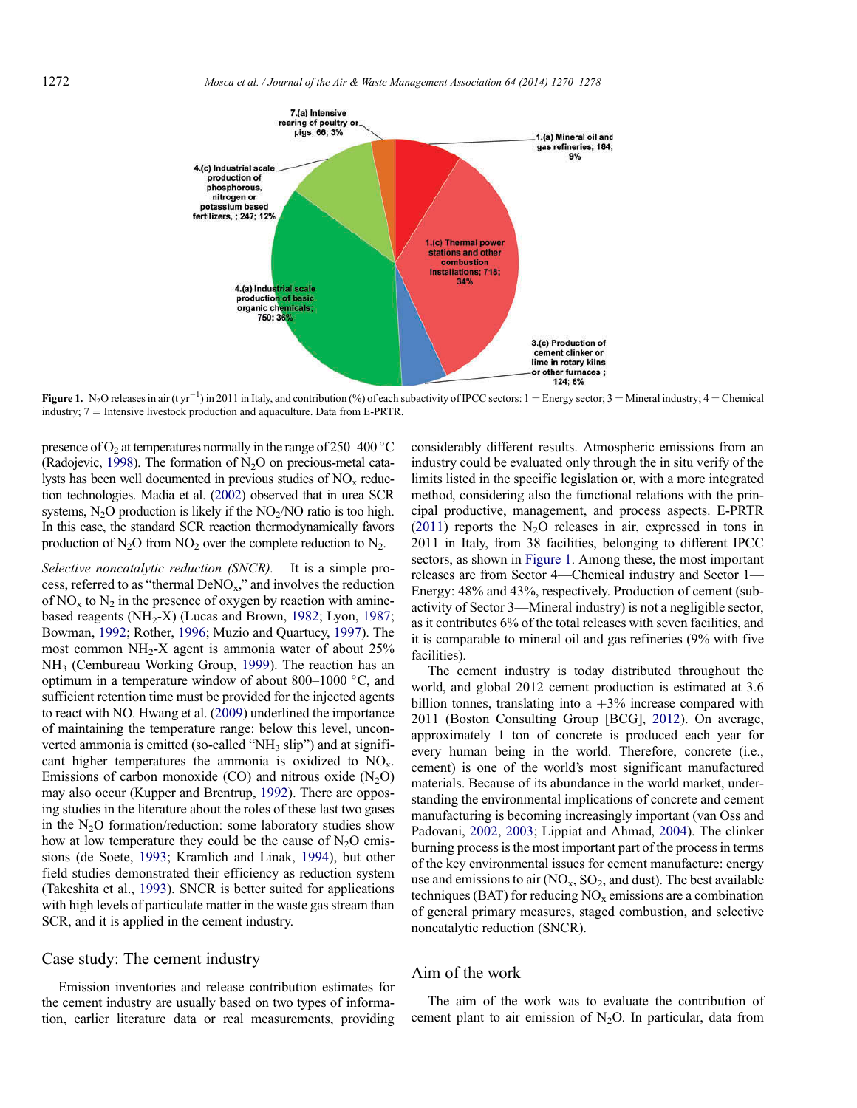

**Figure 1.** N<sub>2</sub>O releases in air (t yr<sup>-1</sup>) in 2011 in Italy, and contribution (%) of each subactivity of IPCC sectors: 1 = Energy sector; 3 = Mineral industry; 4 = Chemical industry;  $7 =$  Intensive livestock production and aquaculture. Data from E-PRTR.

presence of  $O_2$  at temperatures normally in the range of 250–400 °C (Radojevic, [1998](#page-8-0)). The formation of  $N_2O$  on precious-metal catalysts has been well documented in previous studies of  $NO<sub>x</sub>$  reduction technologies. Madia et al. [\(2002\)](#page-8-0) observed that in urea SCR systems,  $N_2O$  production is likely if the  $NO_2/NO$  ratio is too high. In this case, the standard SCR reaction thermodynamically favors production of  $N_2O$  from  $NO_2$  over the complete reduction to  $N_2$ .

Selective noncatalytic reduction (SNCR). It is a simple process, referred to as "thermal DeNOx," and involves the reduction of  $NO<sub>x</sub>$  to  $N<sub>2</sub>$  in the presence of oxygen by reaction with amine-based reagents (NH<sub>2</sub>-X) (Lucas and Brown, [1982](#page-8-0); Lyon, [1987](#page-8-0); Bowman, [1992](#page-7-0); Rother, [1996](#page-8-0); Muzio and Quartucy, [1997](#page-8-0)). The most common  $NH<sub>2</sub>$  X agent is ammonia water of about 25% NH3 (Cembureau Working Group, [1999\)](#page-7-0). The reaction has an optimum in a temperature window of about 800–1000  $\degree$ C, and sufficient retention time must be provided for the injected agents to react with NO. Hwang et al. ([2009\)](#page-7-0) underlined the importance of maintaining the temperature range: below this level, unconverted ammonia is emitted (so-called "NH<sub>3</sub> slip") and at significant higher temperatures the ammonia is oxidized to  $NO<sub>x</sub>$ . Emissions of carbon monoxide (CO) and nitrous oxide  $(N_2O)$ may also occur (Kupper and Brentrup, [1992\)](#page-8-0). There are opposing studies in the literature about the roles of these last two gases in the  $N<sub>2</sub>O$  formation/reduction: some laboratory studies show how at low temperature they could be the cause of  $N_2O$  emissions (de Soete, [1993](#page-7-0); Kramlich and Linak, [1994](#page-8-0)), but other field studies demonstrated their efficiency as reduction system (Takeshita et al., [1993](#page-8-0)). SNCR is better suited for applications with high levels of particulate matter in the waste gas stream than SCR, and it is applied in the cement industry.

Case study: The cement industry

Emission inventories and release contribution estimates for the cement industry are usually based on two types of information, earlier literature data or real measurements, providing considerably different results. Atmospheric emissions from an industry could be evaluated only through the in situ verify of the limits listed in the specific legislation or, with a more integrated method, considering also the functional relations with the principal productive, management, and process aspects. E-PRTR  $(2011)$  reports the N<sub>2</sub>O releases in air, expressed in tons in 2011 in Italy, from 38 facilities, belonging to different IPCC sectors, as shown in Figure 1. Among these, the most important releases are from Sector 4—Chemical industry and Sector 1— Energy: 48% and 43%, respectively. Production of cement (subactivity of Sector 3—Mineral industry) is not a negligible sector, as it contributes 6% of the total releases with seven facilities, and it is comparable to mineral oil and gas refineries (9% with five facilities).

The cement industry is today distributed throughout the world, and global 2012 cement production is estimated at 3.6 billion tonnes, translating into a  $+3\%$  increase compared with 2011 (Boston Consulting Group [BCG], [2012](#page-7-0)). On average, approximately 1 ton of concrete is produced each year for every human being in the world. Therefore, concrete (i.e., cement) is one of the world's most significant manufactured materials. Because of its abundance in the world market, understanding the environmental implications of concrete and cement manufacturing is becoming increasingly important (van Oss and Padovani, [2002,](#page-8-0) [2003](#page-8-0); Lippiat and Ahmad, [2004](#page-8-0)). The clinker burning process is the most important part of the process in terms of the key environmental issues for cement manufacture: energy use and emissions to air  $(NO<sub>x</sub>, SO<sub>2</sub>, and dust)$ . The best available techniques (BAT) for reducing  $NO<sub>x</sub>$  emissions are a combination of general primary measures, staged combustion, and selective noncatalytic reduction (SNCR).

#### Aim of the work

The aim of the work was to evaluate the contribution of cement plant to air emission of  $N_2O$ . In particular, data from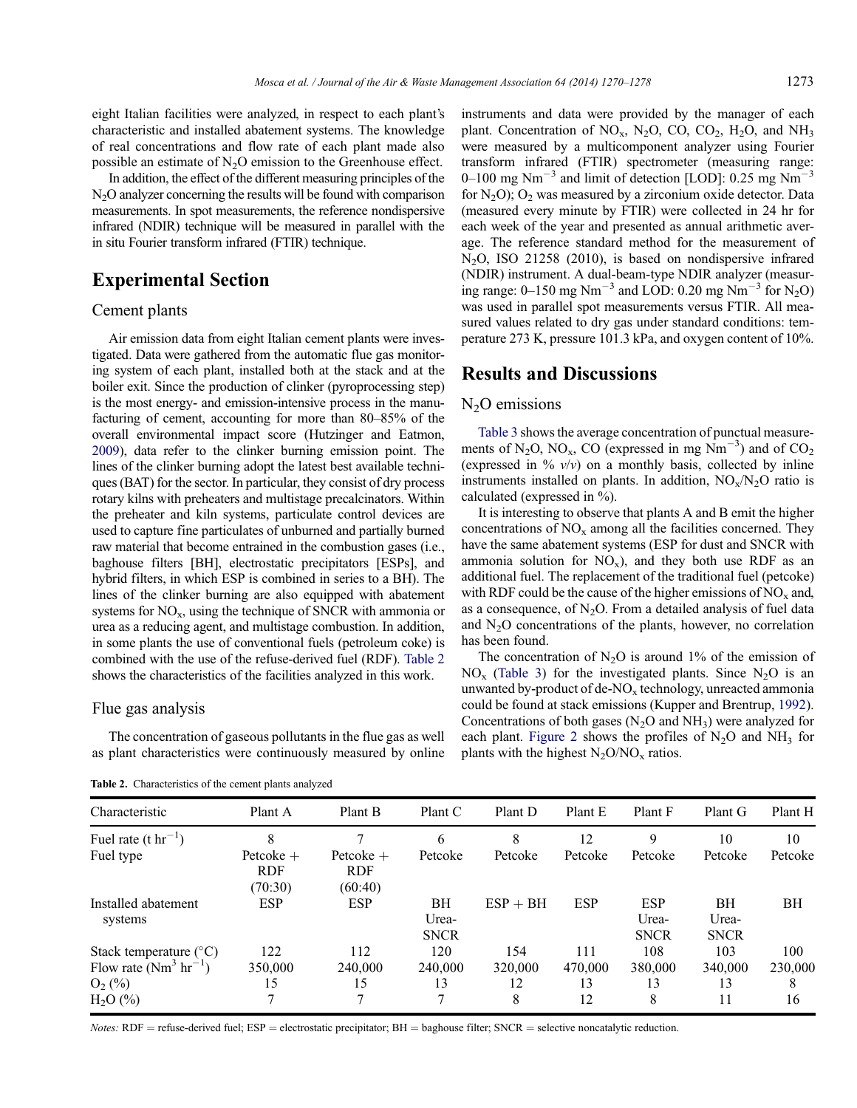eight Italian facilities were analyzed, in respect to each plant's characteristic and installed abatement systems. The knowledge of real concentrations and flow rate of each plant made also possible an estimate of  $N<sub>2</sub>O$  emission to the Greenhouse effect.

In addition, the effect of the different measuring principles of the  $N<sub>2</sub>O$  analyzer concerning the results will be found with comparison measurements. In spot measurements, the reference nondispersive infrared (NDIR) technique will be measured in parallel with the in situ Fourier transform infrared (FTIR) technique.

# Experimental Section

#### Cement plants

Air emission data from eight Italian cement plants were investigated. Data were gathered from the automatic flue gas monitoring system of each plant, installed both at the stack and at the boiler exit. Since the production of clinker (pyroprocessing step) is the most energy- and emission-intensive process in the manufacturing of cement, accounting for more than 80–85% of the overall environmental impact score (Hutzinger and Eatmon, [2009](#page-7-0)), data refer to the clinker burning emission point. The lines of the clinker burning adopt the latest best available techniques (BAT) for the sector. In particular, they consist of dry process rotary kilns with preheaters and multistage precalcinators. Within the preheater and kiln systems, particulate control devices are used to capture fine particulates of unburned and partially burned raw material that become entrained in the combustion gases (i.e., baghouse filters [BH], electrostatic precipitators [ESPs], and hybrid filters, in which ESP is combined in series to a BH). The lines of the clinker burning are also equipped with abatement systems for  $NO<sub>x</sub>$ , using the technique of SNCR with ammonia or urea as a reducing agent, and multistage combustion. In addition, in some plants the use of conventional fuels (petroleum coke) is combined with the use of the refuse-derived fuel (RDF). Table 2 shows the characteristics of the facilities analyzed in this work.

#### Flue gas analysis

The concentration of gaseous pollutants in the flue gas as well as plant characteristics were continuously measured by online

Table 2. Characteristics of the cement plants analyzed

instruments and data were provided by the manager of each plant. Concentration of  $NO_x$ ,  $N_2O$ ,  $CO$ ,  $CO_2$ ,  $H_2O$ , and  $NH_3$ were measured by a multicomponent analyzer using Fourier transform infrared (FTIR) spectrometer (measuring range: 0–100 mg  $Nm^{-3}$  and limit of detection [LOD]: 0.25 mg  $Nm^{-}$ for  $N_2O$ ; O<sub>2</sub> was measured by a zirconium oxide detector. Data (measured every minute by FTIR) were collected in 24 hr for each week of the year and presented as annual arithmetic average. The reference standard method for the measurement of N<sub>2</sub>O, ISO 21258 (2010), is based on nondispersive infrared (NDIR) instrument. A dual-beam-type NDIR analyzer (measuring range:  $0-150$  mg Nm<sup>-3</sup> and LOD: 0.20 mg Nm<sup>-3</sup> for N<sub>2</sub>O) was used in parallel spot measurements versus FTIR. All measured values related to dry gas under standard conditions: temperature 273 K, pressure 101.3 kPa, and oxygen content of 10%.

# Results and Discussions

#### $N<sub>2</sub>O$  emissions

[Table 3](#page-4-0) shows the average concentration of punctual measurements of N<sub>2</sub>O, NO<sub>x</sub>, CO (expressed in mg Nm<sup>-3</sup>) and of CO<sub>2</sub> (expressed in  $\%$   $v/v$ ) on a monthly basis, collected by inline instruments installed on plants. In addition,  $NO_x/N_2O$  ratio is calculated (expressed in %).

It is interesting to observe that plants A and B emit the higher concentrations of  $NO<sub>x</sub>$  among all the facilities concerned. They have the same abatement systems (ESP for dust and SNCR with ammonia solution for  $NO_x$ ), and they both use RDF as an additional fuel. The replacement of the traditional fuel (petcoke) with RDF could be the cause of the higher emissions of  $NO<sub>x</sub>$  and, as a consequence, of  $N_2O$ . From a detailed analysis of fuel data and  $N<sub>2</sub>O$  concentrations of the plants, however, no correlation has been found.

The concentration of  $N_2O$  is around 1% of the emission of  $NO<sub>x</sub>$  ([Table 3](#page-4-0)) for the investigated plants. Since N<sub>2</sub>O is an unwanted by-product of de- $NO<sub>x</sub>$  technology, unreacted ammonia could be found at stack emissions (Kupper and Brentrup, [1992](#page-8-0)). Concentrations of both gases ( $N_2O$  and  $NH_3$ ) were analyzed for each plant. [Figure 2](#page-4-0) shows the profiles of  $N_2O$  and  $NH_3$  for plants with the highest  $N_2O/NO_x$  ratios.

| Characteristic                  | Plant A                              | Plant B                              | Plant C                    | Plant D    | Plant E    | Plant F                            | Plant G                    | Plant H |
|---------------------------------|--------------------------------------|--------------------------------------|----------------------------|------------|------------|------------------------------------|----------------------------|---------|
| Fuel rate $(\text{t hr}^{-1})$  | 8                                    |                                      | 6                          | 8          | 12         | 9                                  | 10                         | 10      |
| Fuel type                       | Petcoke $+$<br><b>RDF</b><br>(70:30) | Petcoke $+$<br><b>RDF</b><br>(60:40) | Petcoke                    | Petcoke    | Petcoke    | Petcoke                            | Petcoke                    | Petcoke |
| Installed abatement<br>systems  | <b>ESP</b>                           | <b>ESP</b>                           | ВH<br>Urea-<br><b>SNCR</b> | $ESP + BH$ | <b>ESP</b> | <b>ESP</b><br>Urea-<br><b>SNCR</b> | BH<br>Urea-<br><b>SNCR</b> | BH      |
| Stack temperature $(^{\circ}C)$ | 122                                  | 112                                  | 120                        | 154        | 111        | 108                                | 103                        | 100     |
| Flow rate $(Nm^3 hr^{-1})$      | 350,000                              | 240,000                              | 240,000                    | 320,000    | 470,000    | 380,000                            | 340,000                    | 230,000 |
| $O_2(\%)$                       | 15                                   | 15                                   | 13                         | 12         | 13         | 13                                 | 13                         | 8       |
| $H_2O(%)$                       | ⇁                                    |                                      |                            | 8          | 12         | 8                                  | 11                         | 16      |

 $Notes: RDF =$  refuse-derived fuel;  $ESP =$  electrostatic precipitator;  $BH =$  baghouse filter;  $SNCR =$  selective noncatalytic reduction.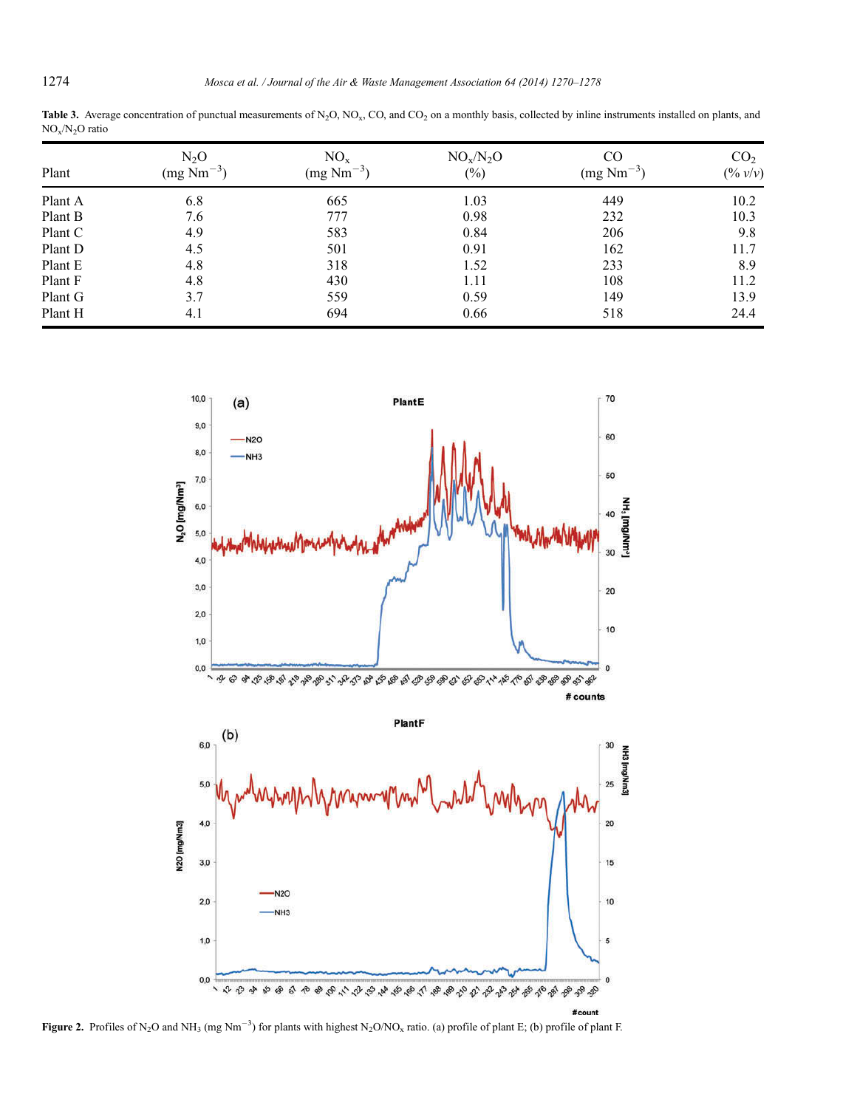<span id="page-4-0"></span>Table 3. Average concentration of punctual measurements of  $N_2O$ ,  $NO_x$ ,  $CO_x$ , and  $CO_2$  on a monthly basis, collected by inline instruments installed on plants, and NOx/N2O ratio

| Plant   | $N_2O$<br>$(mg Nm^{-3})$ | NO <sub>x</sub><br>(mg Nm | $NO_x/N_2O$<br>$(\%)$ | CO<br>$\text{(mg Nm}^{-3})$ | CO <sub>2</sub><br>$(\% v/v)$ |
|---------|--------------------------|---------------------------|-----------------------|-----------------------------|-------------------------------|
|         |                          |                           |                       |                             |                               |
| Plant A | 6.8                      | 665                       | 1.03                  | 449                         | 10.2                          |
| Plant B | 7.6                      | 777                       | 0.98                  | 232                         | 10.3                          |
| Plant C | 4.9                      | 583                       | 0.84                  | 206                         | 9.8                           |
| Plant D | 4.5                      | 501                       | 0.91                  | 162                         | 11.7                          |
| Plant E | 4.8                      | 318                       | 1.52                  | 233                         | 8.9                           |
| Plant F | 4.8                      | 430                       | 1.11                  | 108                         | 11.2                          |
| Plant G | 3.7                      | 559                       | 0.59                  | 149                         | 13.9                          |
| Plant H | 4.1                      | 694                       | 0.66                  | 518                         | 24.4                          |



**Figure 2.** Profiles of N<sub>2</sub>O and NH<sub>3</sub> (mg Nm<sup>-3</sup>) for plants with highest N<sub>2</sub>O/NO<sub>x</sub> ratio. (a) profile of plant E; (b) profile of plant F.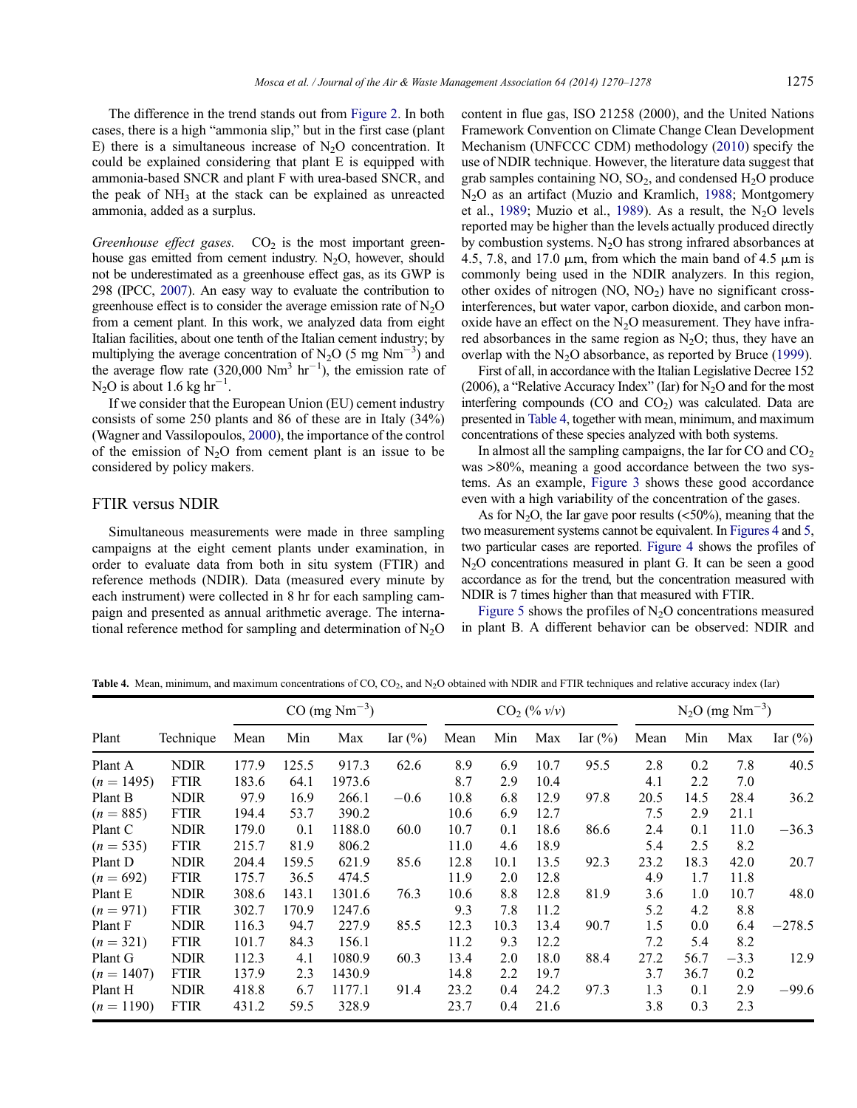The difference in the trend stands out from [Figure 2](#page-4-0). In both cases, there is a high "ammonia slip," but in the first case (plant E) there is a simultaneous increase of  $N<sub>2</sub>O$  concentration. It could be explained considering that plant E is equipped with ammonia-based SNCR and plant F with urea-based SNCR, and the peak of  $NH_3$  at the stack can be explained as unreacted ammonia, added as a surplus.

Greenhouse effect gases.  $CO<sub>2</sub>$  is the most important greenhouse gas emitted from cement industry.  $N_2O$ , however, should not be underestimated as a greenhouse effect gas, as its GWP is 298 (IPCC, [2007\)](#page-7-0). An easy way to evaluate the contribution to greenhouse effect is to consider the average emission rate of  $N<sub>2</sub>O$ from a cement plant. In this work, we analyzed data from eight Italian facilities, about one tenth of the Italian cement industry; by multiplying the average concentration of N<sub>2</sub>O (5 mg Nm<sup>-3</sup>) and the average flow rate  $(320,000 \text{ Nm}^3 \text{ hr}^{-1})$ , the emission rate of  $N_2$ O is about 1.6 kg hr<sup>-1</sup>.

If we consider that the European Union (EU) cement industry consists of some 250 plants and 86 of these are in Italy (34%) (Wagner and Vassilopoulos, 2000), the importance of the control of the emission of  $N_2O$  from cement plant is an issue to be considered by policy makers.

#### FTIR versus NDIR

Simultaneous measurements were made in three sampling campaigns at the eight cement plants under examination, in order to evaluate data from both in situ system (FTIR) and reference methods (NDIR). Data (measured every minute by each instrument) were collected in 8 hr for each sampling campaign and presented as annual arithmetic average. The international reference method for sampling and determination of  $N_2O$ 

content in flue gas, ISO 21258 (2000), and the United Nations Framework Convention on Climate Change Clean Development Mechanism (UNFCCC CDM) methodology (2010) specify the use of NDIR technique. However, the literature data suggest that grab samples containing  $NO$ ,  $SO_2$ , and condensed  $H_2O$  produce  $N<sub>2</sub>O$  as an artifact (Muzio and Kramlich, [1988](#page-8-0); Montgomery et al., [1989;](#page-8-0) Muzio et al., [1989](#page-8-0)). As a result, the  $N_2O$  levels reported may be higher than the levels actually produced directly by combustion systems.  $N_2O$  has strong infrared absorbances at 4.5, 7.8, and 17.0  $\mu$ m, from which the main band of 4.5  $\mu$ m is commonly being used in the NDIR analyzers. In this region, other oxides of nitrogen  $(NO, NO<sub>2</sub>)$  have no significant crossinterferences, but water vapor, carbon dioxide, and carbon monoxide have an effect on the  $N_2O$  measurement. They have infrared absorbances in the same region as  $N_2O$ ; thus, they have an overlap with the  $N_2O$  absorbance, as reported by Bruce ([1999\)](#page-7-0).

First of all, in accordance with the Italian Legislative Decree 152 (2006), a "Relative Accuracy Index" (Iar) for  $N<sub>2</sub>O$  and for the most interfering compounds (CO and  $CO<sub>2</sub>$ ) was calculated. Data are presented in Table 4, together with mean, minimum, and maximum concentrations of these species analyzed with both systems.

In almost all the sampling campaigns, the Iar for  $CO$  and  $CO<sub>2</sub>$ was >80%, meaning a good accordance between the two systems. As an example, [Figure 3](#page-6-0) shows these good accordance even with a high variability of the concentration of the gases.

As for  $N_2O$ , the Iar gave poor results (<50%), meaning that the two measurement systems cannot be equivalent. In [Figures 4](#page-6-0) and [5](#page-6-0), two particular cases are reported. [Figure 4](#page-6-0) shows the profiles of  $N<sub>2</sub>O$  concentrations measured in plant G. It can be seen a good accordance as for the trend, but the concentration measured with NDIR is 7 times higher than that measured with FTIR.

[Figure 5](#page-6-0) shows the profiles of  $N_2O$  concentrations measured in plant B. A different behavior can be observed: NDIR and

Table 4. Mean, minimum, and maximum concentrations of CO, CO<sub>2</sub>, and N<sub>2</sub>O obtained with NDIR and FTIR techniques and relative accuracy index (Iar)

|              |             | $CO \text{ (mg Nm}^{-3})$ |       |        | $CO_2$ (% $v/v$ ) |      |      | $N_2O$ (mg $Nm^{-3}$ ) |            |      |      |        |            |
|--------------|-------------|---------------------------|-------|--------|-------------------|------|------|------------------------|------------|------|------|--------|------------|
| Plant        | Technique   | Mean                      | Min   | Max    | Iar $(\%)$        | Mean | Min  | Max                    | Iar $(\%)$ | Mean | Min  | Max    | Iar $(\%)$ |
| Plant A      | <b>NDIR</b> | 177.9                     | 125.5 | 917.3  | 62.6              | 8.9  | 6.9  | 10.7                   | 95.5       | 2.8  | 0.2  | 7.8    | 40.5       |
| $(n = 1495)$ | <b>FTIR</b> | 183.6                     | 64.1  | 1973.6 |                   | 8.7  | 2.9  | 10.4                   |            | 4.1  | 2.2  | 7.0    |            |
| Plant B      | <b>NDIR</b> | 97.9                      | 16.9  | 266.1  | $-0.6$            | 10.8 | 6.8  | 12.9                   | 97.8       | 20.5 | 14.5 | 28.4   | 36.2       |
| $(n = 885)$  | <b>FTIR</b> | 194.4                     | 53.7  | 390.2  |                   | 10.6 | 6.9  | 12.7                   |            | 7.5  | 2.9  | 21.1   |            |
| Plant C      | <b>NDIR</b> | 179.0                     | 0.1   | 1188.0 | 60.0              | 10.7 | 0.1  | 18.6                   | 86.6       | 2.4  | 0.1  | 11.0   | $-36.3$    |
| $(n = 535)$  | <b>FTIR</b> | 215.7                     | 81.9  | 806.2  |                   | 11.0 | 4.6  | 18.9                   |            | 5.4  | 2.5  | 8.2    |            |
| Plant D      | <b>NDIR</b> | 204.4                     | 159.5 | 621.9  | 85.6              | 12.8 | 10.1 | 13.5                   | 92.3       | 23.2 | 18.3 | 42.0   | 20.7       |
| $(n = 692)$  | <b>FTIR</b> | 175.7                     | 36.5  | 474.5  |                   | 11.9 | 2.0  | 12.8                   |            | 4.9  | 1.7  | 11.8   |            |
| Plant E      | <b>NDIR</b> | 308.6                     | 143.1 | 1301.6 | 76.3              | 10.6 | 8.8  | 12.8                   | 81.9       | 3.6  | 1.0  | 10.7   | 48.0       |
| $(n = 971)$  | <b>FTIR</b> | 302.7                     | 170.9 | 1247.6 |                   | 9.3  | 7.8  | 11.2                   |            | 5.2  | 4.2  | 8.8    |            |
| Plant F      | <b>NDIR</b> | 116.3                     | 94.7  | 227.9  | 85.5              | 12.3 | 10.3 | 13.4                   | 90.7       | 1.5  | 0.0  | 6.4    | $-278.5$   |
| $(n = 321)$  | <b>FTIR</b> | 101.7                     | 84.3  | 156.1  |                   | 11.2 | 9.3  | 12.2                   |            | 7.2  | 5.4  | 8.2    |            |
| Plant G      | <b>NDIR</b> | 112.3                     | 4.1   | 1080.9 | 60.3              | 13.4 | 2.0  | 18.0                   | 88.4       | 27.2 | 56.7 | $-3.3$ | 12.9       |
| $(n = 1407)$ | <b>FTIR</b> | 137.9                     | 2.3   | 1430.9 |                   | 14.8 | 2.2  | 19.7                   |            | 3.7  | 36.7 | 0.2    |            |
| Plant H      | <b>NDIR</b> | 418.8                     | 6.7   | 1177.1 | 91.4              | 23.2 | 0.4  | 24.2                   | 97.3       | 1.3  | 0.1  | 2.9    | $-99.6$    |
| $(n = 1190)$ | <b>FTIR</b> | 431.2                     | 59.5  | 328.9  |                   | 23.7 | 0.4  | 21.6                   |            | 3.8  | 0.3  | 2.3    |            |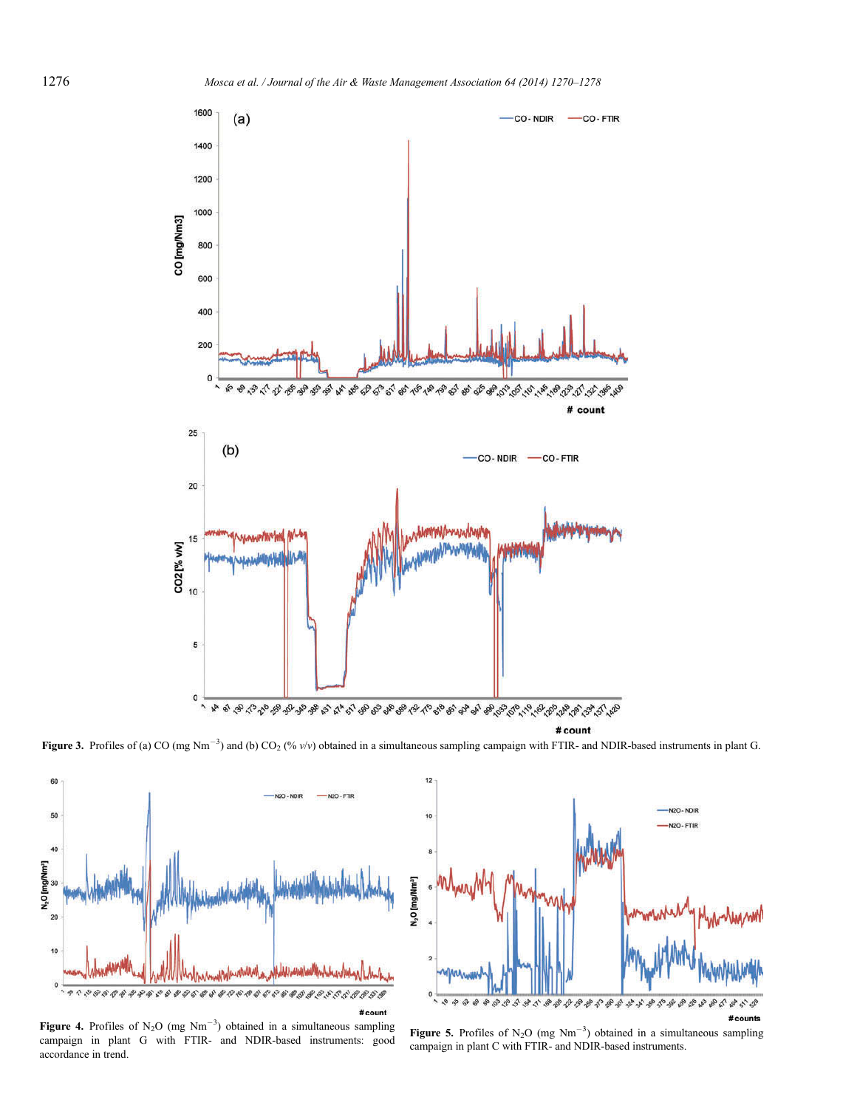<span id="page-6-0"></span>

Figure 3. Profiles of (a) CO (mg Nm<sup>-3</sup>) and (b) CO<sub>2</sub> (%  $v/v$ ) obtained in a simultaneous sampling campaign with FTIR- and NDIR-based instruments in plant G.



Figure 4. Profiles of  $N_2O$  (mg  $Nm^{-3}$ ) obtained in a simultaneous sampling campaign in plant G with FTIR- and NDIR-based instruments: good accordance in trend.

Figure 5. Profiles of N<sub>2</sub>O (mg Nm<sup>-3</sup>) obtained in a simultaneous sampling campaign in plant C with FTIR- and NDIR-based instruments.

V2O - NDIR

N<sub>20</sub>-FTIR

# counts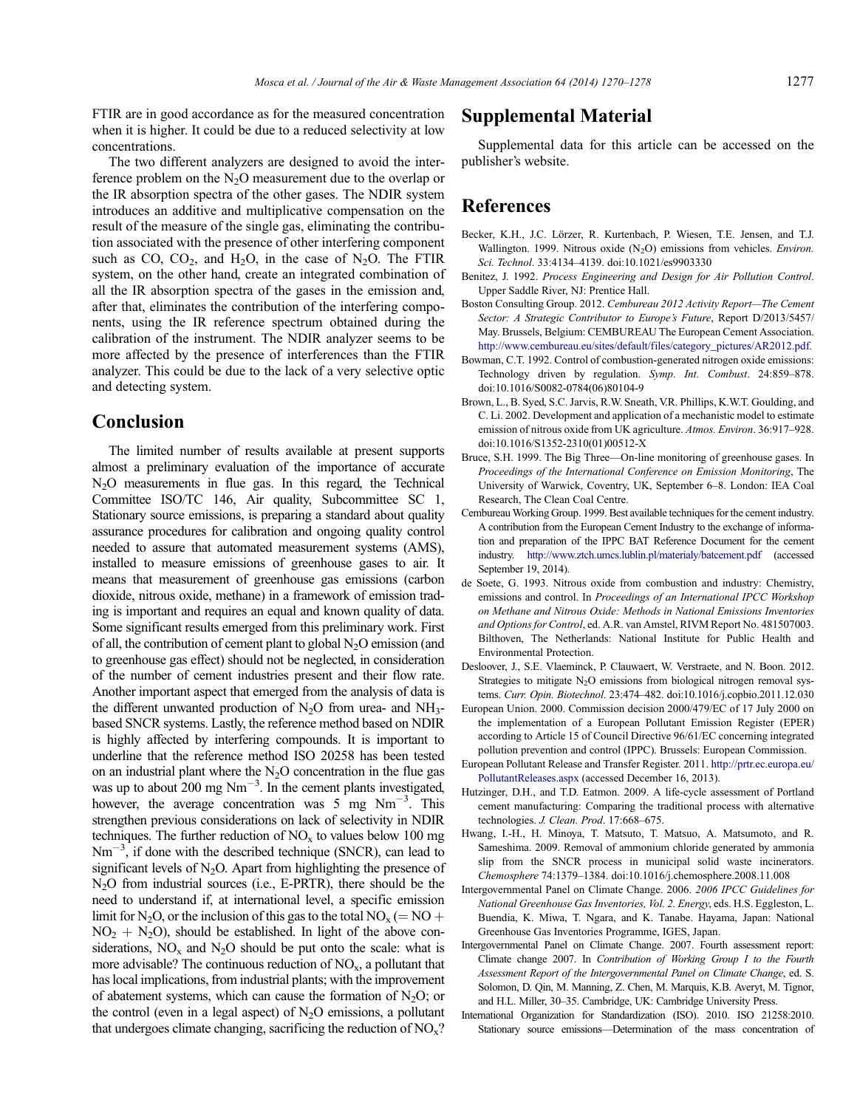<span id="page-7-0"></span>FTIR are in good accordance as for the measured concentration when it is higher. It could be due to a reduced selectivity at low concentrations.

The two different analyzers are designed to avoid the interference problem on the  $N_2O$  measurement due to the overlap or the IR absorption spectra of the other gases. The NDIR system introduces an additive and multiplicative compensation on the result of the measure of the single gas, eliminating the contribution associated with the presence of other interfering component such as CO,  $CO_2$ , and H<sub>2</sub>O, in the case of N<sub>2</sub>O. The FTIR system, on the other hand, create an integrated combination of all the IR absorption spectra of the gases in the emission and, after that, eliminates the contribution of the interfering components, using the IR reference spectrum obtained during the calibration of the instrument. The NDIR analyzer seems to be more affected by the presence of interferences than the FTIR analyzer. This could be due to the lack of a very selective optic and detecting system.

# Conclusion

The limited number of results available at present supports almost a preliminary evaluation of the importance of accurate N2O measurements in flue gas. In this regard, the Technical Committee ISO/TC 146, Air quality, Subcommittee SC 1, Stationary source emissions, is preparing a standard about quality assurance procedures for calibration and ongoing quality control needed to assure that automated measurement systems (AMS), installed to measure emissions of greenhouse gases to air. It means that measurement of greenhouse gas emissions (carbon dioxide, nitrous oxide, methane) in a framework of emission trading is important and requires an equal and known quality of data. Some significant results emerged from this preliminary work. First of all, the contribution of cement plant to global  $N_2O$  emission (and to greenhouse gas effect) should not be neglected, in consideration of the number of cement industries present and their flow rate. Another important aspect that emerged from the analysis of data is the different unwanted production of  $N_2O$  from urea- and  $NH_3$ based SNCR systems. Lastly, the reference method based on NDIR is highly affected by interfering compounds. It is important to underline that the reference method ISO 20258 has been tested on an industrial plant where the  $N<sub>2</sub>O$  concentration in the flue gas was up to about  $200 \text{ mg Nm}^{-3}$ . In the cement plants investigated, however, the average concentration was  $5 \text{ mg Nm}^{-3}$ . This strengthen previous considerations on lack of selectivity in NDIR techniques. The further reduction of  $NO<sub>x</sub>$  to values below 100 mg  $Nm^{-3}$ , if done with the described technique (SNCR), can lead to significant levels of  $N_2O$ . Apart from highlighting the presence of N2O from industrial sources (i.e., E-PRTR), there should be the need to understand if, at international level, a specific emission limit for N<sub>2</sub>O, or the inclusion of this gas to the total NO<sub>x</sub> ( $=$  NO  $+$  $NO<sub>2</sub> + N<sub>2</sub>O$ , should be established. In light of the above considerations,  $NO_x$  and  $N_2O$  should be put onto the scale: what is more advisable? The continuous reduction of  $NO<sub>x</sub>$ , a pollutant that has local implications, from industrial plants; with the improvement of abatement systems, which can cause the formation of  $N_2O$ ; or the control (even in a legal aspect) of  $N<sub>2</sub>O$  emissions, a pollutant that undergoes climate changing, sacrificing the reduction of  $NO<sub>x</sub>$ ?

# Supplemental Material

Supplemental data for this article can be accessed on the publisher'[s website.](http://www.tandfonline.com/uawm)

## References

- Becker, K.H., J.C. Lörzer, R. Kurtenbach, P. Wiesen, T.E. Jensen, and T.J. Wallington. 1999. Nitrous oxide  $(N_2O)$  emissions from vehicles. *Environ*. Sci. Technol. 33:4134–4139. doi:10.1021/es9903330
- Benitez, J. 1992. Process Engineering and Design for Air Pollution Control. Upper Saddle River, NJ: Prentice Hall.
- Boston Consulting Group. 2012. Cembureau 2012 Activity Report—The Cement Sector: A Strategic Contributor to Europe's Future, Report D/2013/5457/ May. Brussels, Belgium: CEMBUREAU The European Cement Association. [http://www.cembureau.eu/sites/default/files/category\\_pictures/AR2012.pdf.](http://www.cembureau.eu/sites/default/files/category_pictures/AR2012.pdf.)
- Bowman, C.T. 1992. Control of combustion-generated nitrogen oxide emissions: Technology driven by regulation. Symp. Int. Combust. 24:859–878. doi:10.1016/S0082-0784(06)80104-9
- Brown, L., B. Syed, S.C. Jarvis, R.W. Sneath, V.R. Phillips, K.W.T. Goulding, and C. Li. 2002. Development and application of a mechanistic model to estimate emission of nitrous oxide from UK agriculture. Atmos. Environ. 36:917–928. doi:10.1016/S1352-2310(01)00512-X
- Bruce, S.H. 1999. The Big Three—On-line monitoring of greenhouse gases. In Proceedings of the International Conference on Emission Monitoring, The University of Warwick, Coventry, UK, September 6–8. London: IEA Coal Research, The Clean Coal Centre.
- Cembureau Working Group. 1999. Best available techniques for the cement industry. A contribution from the European Cement Industry to the exchange of information and preparation of the IPPC BAT Reference Document for the cement industry. <http://www.ztch.umcs.lublin.pl/materialy/batcement.pdf> (accessed September 19, 2014).
- de Soete, G. 1993. Nitrous oxide from combustion and industry: Chemistry, emissions and control. In Proceedings of an International IPCC Workshop on Methane and Nitrous Oxide: Methods in National Emissions Inventories and Options for Control, ed. A.R. van Amstel, RIVM Report No. 481507003. Bilthoven, The Netherlands: National Institute for Public Health and Environmental Protection.
- Desloover, J., S.E. Vlaeminck, P. Clauwaert, W. Verstraete, and N. Boon. 2012. Strategies to mitigate  $N<sub>2</sub>O$  emissions from biological nitrogen removal systems. Curr. Opin. Biotechnol. 23:474–482. doi:10.1016/j.copbio.2011.12.030
- European Union. 2000. Commission decision 2000/479/EC of 17 July 2000 on the implementation of a European Pollutant Emission Register (EPER) according to Article 15 of Council Directive 96/61/EC concerning integrated pollution prevention and control (IPPC). Brussels: European Commission.
- European Pollutant Release and Transfer Register. 2011. [http://prtr.ec.europa.eu/](http://prtr.ec.europa.eu/PollutantReleases.aspx) [PollutantReleases.aspx](http://prtr.ec.europa.eu/PollutantReleases.aspx) (accessed December 16, 2013).
- Hutzinger, D.H., and T.D. Eatmon. 2009. A life-cycle assessment of Portland cement manufacturing: Comparing the traditional process with alternative technologies. J. Clean. Prod. 17:668–675.
- Hwang, I.-H., H. Minoya, T. Matsuto, T. Matsuo, A. Matsumoto, and R. Sameshima. 2009. Removal of ammonium chloride generated by ammonia slip from the SNCR process in municipal solid waste incinerators. Chemosphere 74:1379–1384. doi:10.1016/j.chemosphere.2008.11.008
- Intergovernmental Panel on Climate Change. 2006. 2006 IPCC Guidelines for National Greenhouse Gas Inventories, Vol. 2. Energy, eds. H.S. Eggleston, L. Buendia, K. Miwa, T. Ngara, and K. Tanabe. Hayama, Japan: National Greenhouse Gas Inventories Programme, IGES, Japan.
- Intergovernmental Panel on Climate Change. 2007. Fourth assessment report: Climate change 2007. In Contribution of Working Group I to the Fourth Assessment Report of the Intergovernmental Panel on Climate Change, ed. S. Solomon, D. Qin, M. Manning, Z. Chen, M. Marquis, K.B. Averyt, M. Tignor, and H.L. Miller, 30–35. Cambridge, UK: Cambridge University Press.
- International Organization for Standardization (ISO). 2010. ISO 21258:2010. Stationary source emissions—Determination of the mass concentration of